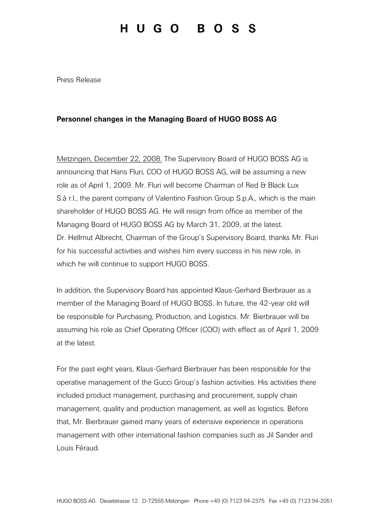## HUGO BOSS

Press Release

## Personnel changes in the Managing Board of HUGO BOSS AG

Metzingen, December 22, 2008. The Supervisory Board of HUGO BOSS AG is announcing that Hans Fluri, COO of HUGO BOSS AG, will be assuming a new role as of April 1, 2009. Mr. Fluri will become Chairman of Red & Black Lux S.à r.l., the parent company of Valentino Fashion Group S.p.A., which is the main shareholder of HUGO BOSS AG. He will resign from office as member of the Managing Board of HUGO BOSS AG by March 31, 2009, at the latest. Dr. Hellmut Albrecht, Chairman of the Group's Supervisory Board, thanks Mr. Fluri for his successful activities and wishes him every success in his new role, in which he will continue to support HUGO BOSS.

In addition, the Supervisory Board has appointed Klaus-Gerhard Bierbrauer as a member of the Managing Board of HUGO BOSS. In future, the 42-year old will be responsible for Purchasing, Production, and Logistics. Mr. Bierbrauer will be assuming his role as Chief Operating Officer (COO) with effect as of April 1, 2009 at the latest.

For the past eight years, Klaus-Gerhard Bierbrauer has been responsible for the operative management of the Gucci Group's fashion activities. His activities there included product management, purchasing and procurement, supply chain management, quality and production management, as well as logistics. Before that, Mr. Bierbrauer gained many years of extensive experience in operations management with other international fashion companies such as Jil Sander and Louis Féraud.